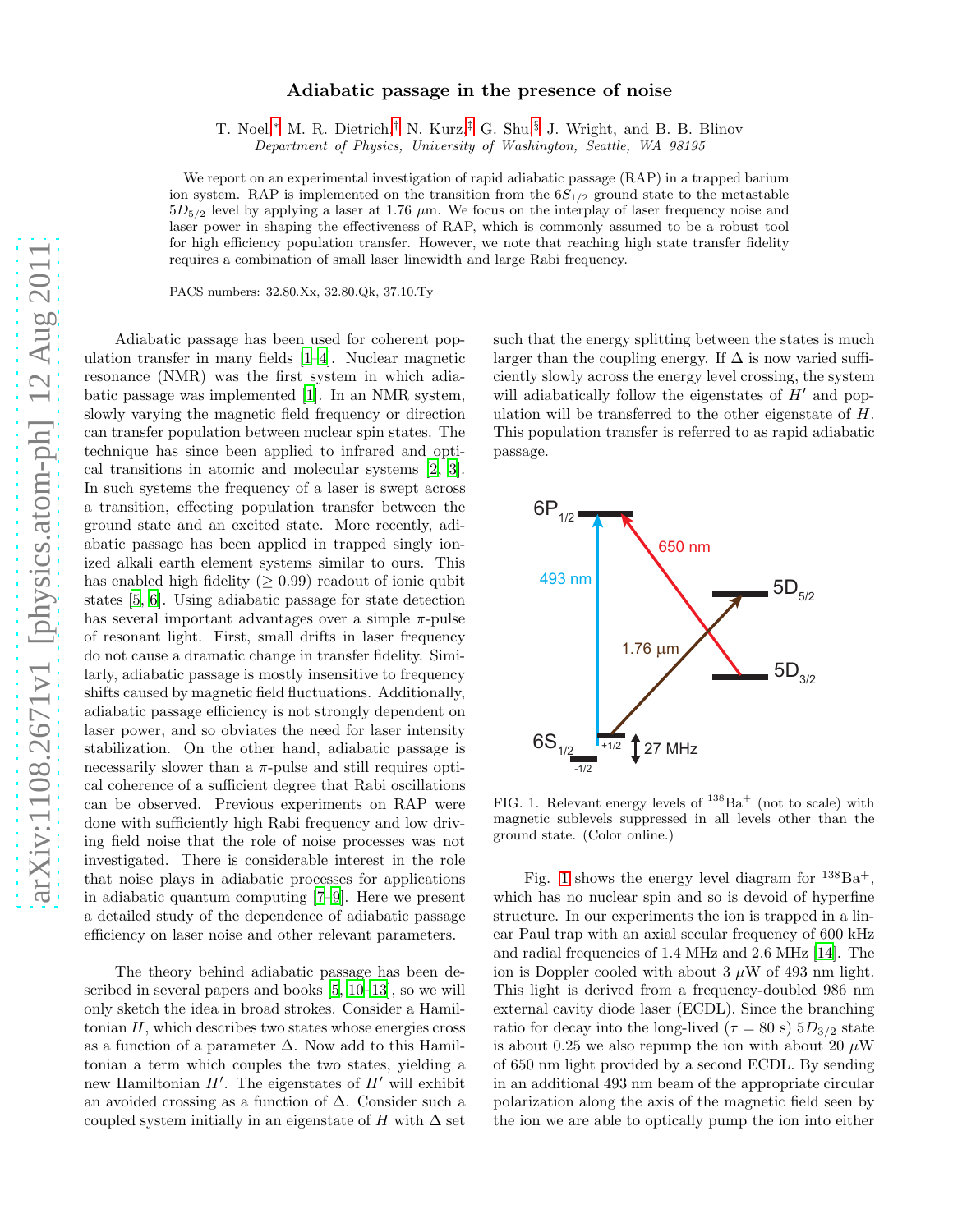## Adiabatic passage in the presence of noise

T. Noel,[∗](#page-3-0) M. R. Dietrich,[†](#page-3-1) N. Kurz,[‡](#page-3-2) G. Shu,[§](#page-3-3) J. Wright, and B. B. Blinov

*Department of Physics, University of Washington, Seattle, WA 98195*

We report on an experimental investigation of rapid adiabatic passage (RAP) in a trapped barium ion system. RAP is implemented on the transition from the  $6S_{1/2}$  ground state to the metastable  $5D_{5/2}$  level by applying a laser at 1.76  $\mu$ m. We focus on the interplay of laser frequency noise and laser power in shaping the effectiveness of RAP, which is commonly assumed to be a robust tool for high efficiency population transfer. However, we note that reaching high state transfer fidelity requires a combination of small laser linewidth and large Rabi frequency.

PACS numbers: 32.80.Xx, 32.80.Qk, 37.10.Ty

Adiabatic passage has been used for coherent population transfer in many fields [\[1](#page-3-4)[–4](#page-3-5)]. Nuclear magnetic resonance (NMR) was the first system in which adiabatic passage was implemented [\[1\]](#page-3-4). In an NMR system, slowly varying the magnetic field frequency or direction can transfer population between nuclear spin states. The technique has since been applied to infrared and optical transitions in atomic and molecular systems [\[2](#page-3-6), [3\]](#page-3-7). In such systems the frequency of a laser is swept across a transition, effecting population transfer between the ground state and an excited state. More recently, adiabatic passage has been applied in trapped singly ionized alkali earth element systems similar to ours. This has enabled high fidelity  $(≥ 0.99)$  readout of ionic qubit states [\[5](#page-3-8), [6](#page-3-9)]. Using adiabatic passage for state detection has several important advantages over a simple  $\pi$ -pulse of resonant light. First, small drifts in laser frequency do not cause a dramatic change in transfer fidelity. Similarly, adiabatic passage is mostly insensitive to frequency shifts caused by magnetic field fluctuations. Additionally, adiabatic passage efficiency is not strongly dependent on laser power, and so obviates the need for laser intensity stabilization. On the other hand, adiabatic passage is necessarily slower than a  $\pi$ -pulse and still requires optical coherence of a sufficient degree that Rabi oscillations can be observed. Previous experiments on RAP were done with sufficiently high Rabi frequency and low driving field noise that the role of noise processes was not investigated. There is considerable interest in the role that noise plays in adiabatic processes for applications in adiabatic quantum computing [\[7](#page-3-10)[–9\]](#page-3-11). Here we present a detailed study of the dependence of adiabatic passage efficiency on laser noise and other relevant parameters.

The theory behind adiabatic passage has been described in several papers and books [\[5](#page-3-8), [10](#page-3-12)[–13\]](#page-3-13), so we will only sketch the idea in broad strokes. Consider a Hamiltonian  $H$ , which describes two states whose energies cross as a function of a parameter  $\Delta$ . Now add to this Hamiltonian a term which couples the two states, yielding a new Hamiltonian  $H'$ . The eigenstates of  $H'$  will exhibit an avoided crossing as a function of  $\Delta$ . Consider such a coupled system initially in an eigenstate of H with  $\Delta$  set

such that the energy splitting between the states is much larger than the coupling energy. If  $\Delta$  is now varied sufficiently slowly across the energy level crossing, the system will adiabatically follow the eigenstates of  $H'$  and population will be transferred to the other eigenstate of H. This population transfer is referred to as rapid adiabatic passage.



<span id="page-0-0"></span>FIG. 1. Relevant energy levels of  $138Ba<sup>+</sup>$  (not to scale) with magnetic sublevels suppressed in all levels other than the ground state. (Color online.)

Fig. [1](#page-0-0) shows the energy level diagram for  $^{138}Ba^+$ . which has no nuclear spin and so is devoid of hyperfine structure. In our experiments the ion is trapped in a linear Paul trap with an axial secular frequency of 600 kHz and radial frequencies of 1.4 MHz and 2.6 MHz [\[14](#page-3-14)]. The ion is Doppler cooled with about 3  $\mu$ W of 493 nm light. This light is derived from a frequency-doubled 986 nm external cavity diode laser (ECDL). Since the branching ratio for decay into the long-lived ( $\tau = 80$  s)  $5D_{3/2}$  state is about 0.25 we also repump the ion with about 20  $\mu$ W of 650 nm light provided by a second ECDL. By sending in an additional 493 nm beam of the appropriate circular polarization along the axis of the magnetic field seen by the ion we are able to optically pump the ion into either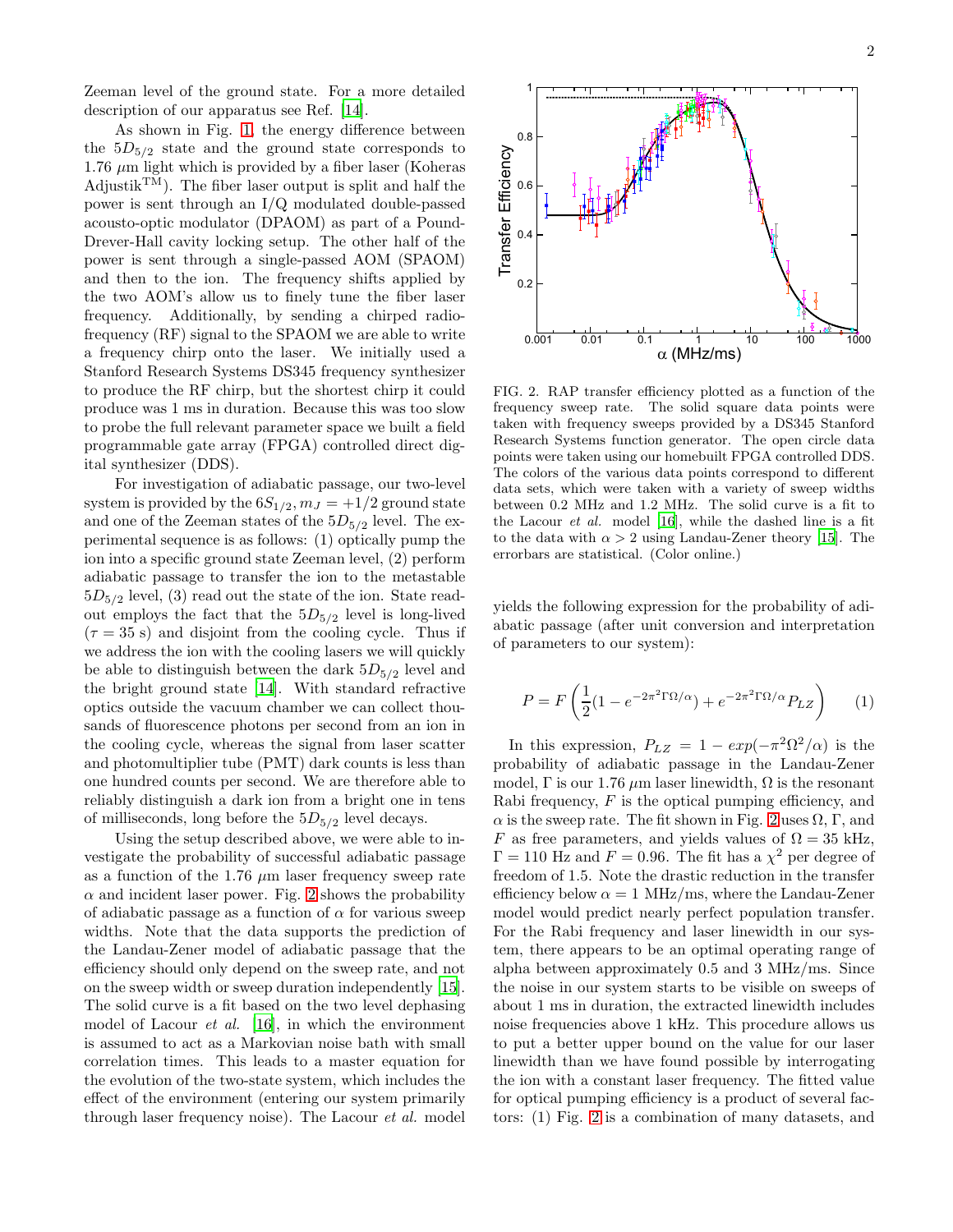Zeeman level of the ground state. For a more detailed description of our apparatus see Ref. [\[14\]](#page-3-14).

As shown in Fig. [1,](#page-0-0) the energy difference between the  $5D_{5/2}$  state and the ground state corresponds to  $1.76 \mu m$  light which is provided by a fiber laser (Koheras Adjustik<sup>TM</sup>). The fiber laser output is split and half the power is sent through an I/Q modulated double-passed acousto-optic modulator (DPAOM) as part of a Pound-Drever-Hall cavity locking setup. The other half of the power is sent through a single-passed AOM (SPAOM) and then to the ion. The frequency shifts applied by the two AOM's allow us to finely tune the fiber laser frequency. Additionally, by sending a chirped radiofrequency (RF) signal to the SPAOM we are able to write a frequency chirp onto the laser. We initially used a Stanford Research Systems DS345 frequency synthesizer to produce the RF chirp, but the shortest chirp it could produce was 1 ms in duration. Because this was too slow to probe the full relevant parameter space we built a field programmable gate array (FPGA) controlled direct digital synthesizer (DDS).

For investigation of adiabatic passage, our two-level system is provided by the  $6S_{1/2}$ ,  $m_J = +1/2$  ground state and one of the Zeeman states of the  $5D_{5/2}$  level. The experimental sequence is as follows: (1) optically pump the ion into a specific ground state Zeeman level, (2) perform adiabatic passage to transfer the ion to the metastable  $5D_{5/2}$  level, (3) read out the state of the ion. State readout employs the fact that the  $5D_{5/2}$  level is long-lived  $(\tau = 35 \text{ s})$  and disjoint from the cooling cycle. Thus if we address the ion with the cooling lasers we will quickly be able to distinguish between the dark  $5D_{5/2}$  level and the bright ground state [\[14\]](#page-3-14). With standard refractive optics outside the vacuum chamber we can collect thousands of fluorescence photons per second from an ion in the cooling cycle, whereas the signal from laser scatter and photomultiplier tube (PMT) dark counts is less than one hundred counts per second. We are therefore able to reliably distinguish a dark ion from a bright one in tens of milliseconds, long before the  $5D_{5/2}$  level decays.

Using the setup described above, we were able to investigate the probability of successful adiabatic passage as a function of the 1.76  $\mu$ m laser frequency sweep rate  $\alpha$  and incident laser power. Fig. [2](#page-1-0) shows the probability of adiabatic passage as a function of  $\alpha$  for various sweep widths. Note that the data supports the prediction of the Landau-Zener model of adiabatic passage that the efficiency should only depend on the sweep rate, and not on the sweep width or sweep duration independently [\[15\]](#page-3-15). The solid curve is a fit based on the two level dephasing model of Lacour  $et \ al.$  [\[16\]](#page-3-16), in which the environment is assumed to act as a Markovian noise bath with small correlation times. This leads to a master equation for the evolution of the two-state system, which includes the effect of the environment (entering our system primarily through laser frequency noise). The Lacour et al. model



<span id="page-1-0"></span>FIG. 2. RAP transfer efficiency plotted as a function of the frequency sweep rate. The solid square data points were taken with frequency sweeps provided by a DS345 Stanford Research Systems function generator. The open circle data points were taken using our homebuilt FPGA controlled DDS. The colors of the various data points correspond to different data sets, which were taken with a variety of sweep widths between 0.2 MHz and 1.2 MHz. The solid curve is a fit to the Lacour *et al.* model [\[16\]](#page-3-16), while the dashed line is a fit to the data with  $\alpha > 2$  using Landau-Zener theory [\[15\]](#page-3-15). The errorbars are statistical. (Color online.)

yields the following expression for the probability of adiabatic passage (after unit conversion and interpretation of parameters to our system):

<span id="page-1-1"></span>
$$
P = F\left(\frac{1}{2}(1 - e^{-2\pi^2 \Gamma \Omega/\alpha}) + e^{-2\pi^2 \Gamma \Omega/\alpha} P_{LZ}\right) \tag{1}
$$

In this expression,  $P_{LZ} = 1 - exp(-\pi^2 \Omega^2/\alpha)$  is the probability of adiabatic passage in the Landau-Zener model,  $\Gamma$  is our 1.76  $\mu$ m laser linewidth,  $\Omega$  is the resonant Rabi frequency,  $F$  is the optical pumping efficiency, and  $\alpha$  is the sweep rate. The fit shown in Fig. [2](#page-1-0) uses  $\Omega$ ,  $\Gamma$ , and F as free parameters, and yields values of  $\Omega = 35$  kHz,  $\Gamma = 110$  Hz and  $F = 0.96$ . The fit has a  $\chi^2$  per degree of freedom of 1.5. Note the drastic reduction in the transfer efficiency below  $\alpha = 1$  MHz/ms, where the Landau-Zener model would predict nearly perfect population transfer. For the Rabi frequency and laser linewidth in our system, there appears to be an optimal operating range of alpha between approximately 0.5 and 3 MHz/ms. Since the noise in our system starts to be visible on sweeps of about 1 ms in duration, the extracted linewidth includes noise frequencies above 1 kHz. This procedure allows us to put a better upper bound on the value for our laser linewidth than we have found possible by interrogating the ion with a constant laser frequency. The fitted value for optical pumping efficiency is a product of several factors: (1) Fig. [2](#page-1-0) is a combination of many datasets, and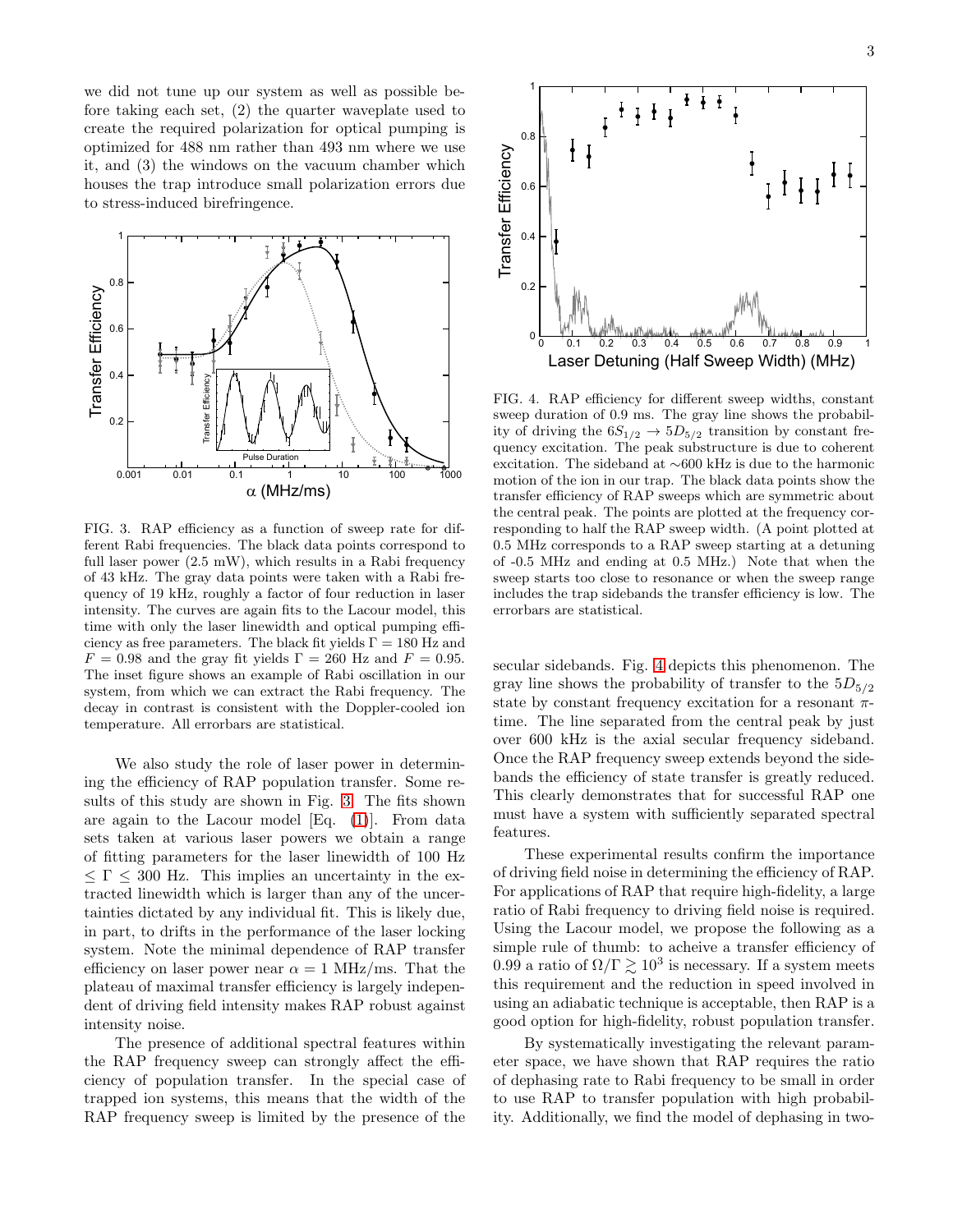we did not tune up our system as well as possible before taking each set, (2) the quarter waveplate used to create the required polarization for optical pumping is optimized for 488 nm rather than 493 nm where we use it, and (3) the windows on the vacuum chamber which houses the trap introduce small polarization errors due to stress-induced birefringence.



<span id="page-2-0"></span>FIG. 3. RAP efficiency as a function of sweep rate for different Rabi frequencies. The black data points correspond to full laser power (2.5 mW), which results in a Rabi frequency of 43 kHz. The gray data points were taken with a Rabi frequency of 19 kHz, roughly a factor of four reduction in laser intensity. The curves are again fits to the Lacour model, this time with only the laser linewidth and optical pumping efficiency as free parameters. The black fit yields  $\Gamma = 180$  Hz and  $F = 0.98$  and the gray fit yields  $\Gamma = 260$  Hz and  $F = 0.95$ . The inset figure shows an example of Rabi oscillation in our system, from which we can extract the Rabi frequency. The decay in contrast is consistent with the Doppler-cooled ion temperature. All errorbars are statistical.

We also study the role of laser power in determining the efficiency of RAP population transfer. Some results of this study are shown in Fig. [3.](#page-2-0) The fits shown are again to the Lacour model [Eq. [\(1\)](#page-1-1)]. From data sets taken at various laser powers we obtain a range of fitting parameters for the laser linewidth of 100 Hz  $\leq \Gamma \leq 300$  Hz. This implies an uncertainty in the extracted linewidth which is larger than any of the uncertainties dictated by any individual fit. This is likely due, in part, to drifts in the performance of the laser locking system. Note the minimal dependence of RAP transfer efficiency on laser power near  $\alpha = 1$  MHz/ms. That the plateau of maximal transfer efficiency is largely independent of driving field intensity makes RAP robust against intensity noise.

The presence of additional spectral features within the RAP frequency sweep can strongly affect the efficiency of population transfer. In the special case of trapped ion systems, this means that the width of the RAP frequency sweep is limited by the presence of the



<span id="page-2-1"></span>FIG. 4. RAP efficiency for different sweep widths, constant sweep duration of 0.9 ms. The gray line shows the probability of driving the  $6S_{1/2} \rightarrow 5D_{5/2}$  transition by constant frequency excitation. The peak substructure is due to coherent excitation. The sideband at ∼600 kHz is due to the harmonic motion of the ion in our trap. The black data points show the transfer efficiency of RAP sweeps which are symmetric about the central peak. The points are plotted at the frequency corresponding to half the RAP sweep width. (A point plotted at 0.5 MHz corresponds to a RAP sweep starting at a detuning of -0.5 MHz and ending at 0.5 MHz.) Note that when the sweep starts too close to resonance or when the sweep range includes the trap sidebands the transfer efficiency is low. The errorbars are statistical.

secular sidebands. Fig. [4](#page-2-1) depicts this phenomenon. The gray line shows the probability of transfer to the  $5D_{5/2}$ state by constant frequency excitation for a resonant  $\pi$ time. The line separated from the central peak by just over 600 kHz is the axial secular frequency sideband. Once the RAP frequency sweep extends beyond the sidebands the efficiency of state transfer is greatly reduced. This clearly demonstrates that for successful RAP one must have a system with sufficiently separated spectral features.

These experimental results confirm the importance of driving field noise in determining the efficiency of RAP. For applications of RAP that require high-fidelity, a large ratio of Rabi frequency to driving field noise is required. Using the Lacour model, we propose the following as a simple rule of thumb: to acheive a transfer efficiency of 0.99 a ratio of  $\Omega/\Gamma \gtrsim 10^3$  is necessary. If a system meets this requirement and the reduction in speed involved in using an adiabatic technique is acceptable, then RAP is a good option for high-fidelity, robust population transfer.

By systematically investigating the relevant parameter space, we have shown that RAP requires the ratio of dephasing rate to Rabi frequency to be small in order to use RAP to transfer population with high probability. Additionally, we find the model of dephasing in two